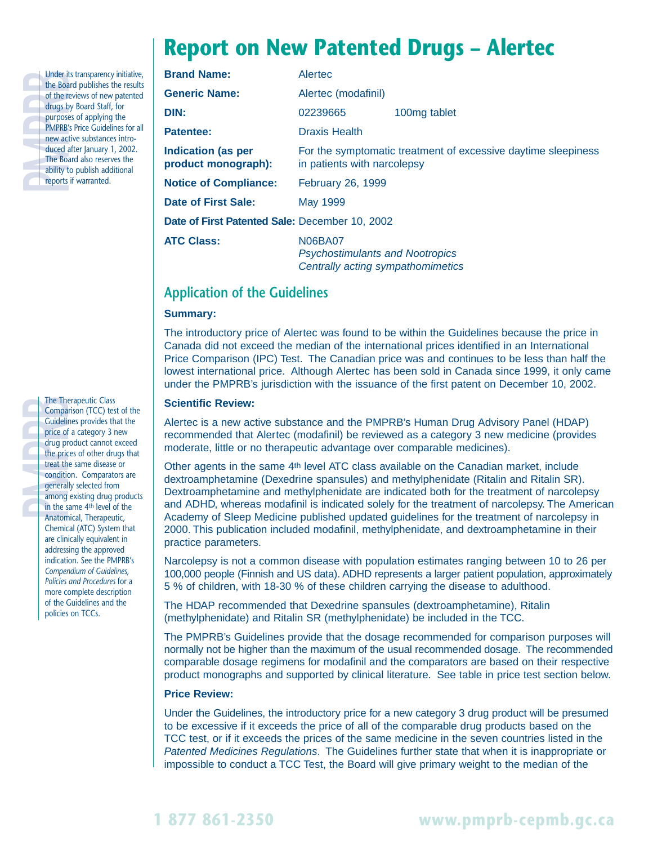# **Report on New Patented Drugs – Alertec**

| t (         <br>  1 |  |
|---------------------|--|
|                     |  |
|                     |  |
|                     |  |
|                     |  |
|                     |  |
| ć                   |  |
|                     |  |

Under its transparency initiative,<br>the Board publishes the results<br>of the reviews of new patented<br>drugs by Board Staff, for<br>purposes of applying the<br>PMPRB's Price Guidelines for all<br>new active substances intro-<br>duced after the Board publishes the results of the reviews of new patented drugs by Board Staff, for purposes of applying the PMPRB's Price Guidelines for all new active substances introduced after January 1, 2002. The Board also reserves the ability to publish additional reports if warranted.

The Therapeutic Class<br>
Comparison (TCC) tes<br>
Guidelines provides the<br>
price of a category 3 in<br>
drug product cannot<br>
the prices of other dru<br>
treat the same disease<br>
condition. Comparatd<br>
generally selected from<br>
among exi Comparison (TCC) test of the Guidelines provides that the price of a category 3 new drug product cannot exceed the prices of other drugs that treat the same disease or condition. Comparators are generally selected from among existing drug products in the same 4th level of the Anatomical, Therapeutic, Chemical (ATC) System that are clinically equivalent in addressing the approved indication. See the PMPRB's *Compendium of Guidelines, Policies and Procedures* for a more complete description of the Guidelines and the policies on TCCs.

| <b>Brand Name:</b>                               | Alertec                                                                                      |              |  |
|--------------------------------------------------|----------------------------------------------------------------------------------------------|--------------|--|
| <b>Generic Name:</b>                             | Alertec (modafinil)                                                                          |              |  |
| DIN:                                             | 02239665                                                                                     | 100mg tablet |  |
| <b>Patentee:</b>                                 | <b>Draxis Health</b>                                                                         |              |  |
| <b>Indication (as per</b><br>product monograph): | For the symptomatic treatment of excessive daytime sleepiness<br>in patients with narcolepsy |              |  |
| <b>Notice of Compliance:</b>                     | February 26, 1999                                                                            |              |  |
| Date of First Sale:                              | May 1999                                                                                     |              |  |
| Date of First Patented Sale: December 10, 2002   |                                                                                              |              |  |
| <b>ATC Class:</b>                                | N06BA07<br><b>Psychostimulants and Nootropics</b><br>Centrally acting sympathomimetics       |              |  |

# **Application of the Guidelines**

### **Summary:**

The introductory price of Alertec was found to be within the Guidelines because the price in Canada did not exceed the median of the international prices identified in an International Price Comparison (IPC) Test. The Canadian price was and continues to be less than half the lowest international price. Although Alertec has been sold in Canada since 1999, it only came under the PMPRB's jurisdiction with the issuance of the first patent on December 10, 2002.

### **Scientific Review:**

Alertec is a new active substance and the PMPRB's Human Drug Advisory Panel (HDAP) recommended that Alertec (modafinil) be reviewed as a category 3 new medicine (provides moderate, little or no therapeutic advantage over comparable medicines).

Other agents in the same 4th level ATC class available on the Canadian market, include dextroamphetamine (Dexedrine spansules) and methylphenidate (Ritalin and Ritalin SR). Dextroamphetamine and methylphenidate are indicated both for the treatment of narcolepsy and ADHD, whereas modafinil is indicated solely for the treatment of narcolepsy. The American Academy of Sleep Medicine published updated guidelines for the treatment of narcolepsy in 2000. This publication included modafinil, methylphenidate, and dextroamphetamine in their practice parameters.

Narcolepsy is not a common disease with population estimates ranging between 10 to 26 per 100,000 people (Finnish and US data). ADHD represents a larger patient population, approximately 5 % of children, with 18-30 % of these children carrying the disease to adulthood.

The HDAP recommended that Dexedrine spansules (dextroamphetamine), Ritalin (methylphenidate) and Ritalin SR (methylphenidate) be included in the TCC.

The PMPRB's Guidelines provide that the dosage recommended for comparison purposes will normally not be higher than the maximum of the usual recommended dosage. The recommended comparable dosage regimens for modafinil and the comparators are based on their respective product monographs and supported by clinical literature. See table in price test section below.

### **Price Review:**

Under the Guidelines, the introductory price for a new category 3 drug product will be presumed to be excessive if it exceeds the price of all of the comparable drug products based on the TCC test, or if it exceeds the prices of the same medicine in the seven countries listed in the Patented Medicines Regulations. The Guidelines further state that when it is inappropriate or impossible to conduct a TCC Test, the Board will give primary weight to the median of the